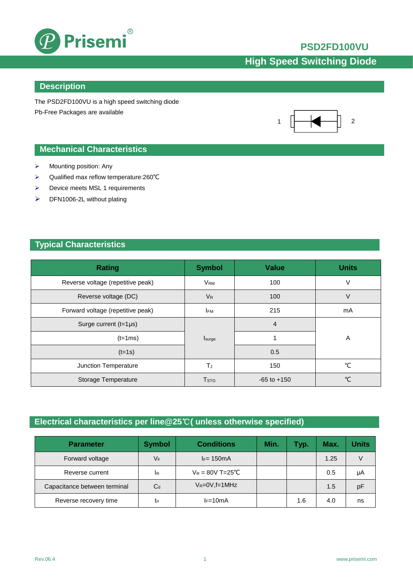

### **PSD2FD100VU**

# **High Speed Switching Diode**

#### **Description**

The PSD2FD100VU is a high speed switching diode Pb-Free Packages are available



### **Mechanical Characteristics**

- $\triangleright$  Mounting position: Any
- Qualified max reflow temperature:260℃
- > Device meets MSL 1 requirements
- > DFN1006-2L without plating

#### **Typical Characteristics**

| <b>Rating</b>                     | <b>Symbol</b>           | <b>Value</b>    | <b>Units</b>  |
|-----------------------------------|-------------------------|-----------------|---------------|
| Reverse voltage (repetitive peak) | <b>V<sub>RM</sub></b>   | 100             | V             |
| Reverse voltage (DC)              | $V_{R}$                 | 100             | V             |
| Forward voltage (repetitive peak) | <b>IFM</b>              | 215             | mA            |
| Surge current $(t=1 \mu s)$       |                         | $\overline{4}$  |               |
| $(t=1ms)$                         | Isurge                  |                 | Α             |
| $(t=1s)$                          |                         | 0.5             |               |
| Junction Temperature              | TJ                      | 150             | ℃             |
| Storage Temperature               | <b>T</b> <sub>STG</sub> | $-65$ to $+150$ | $\mathcal{C}$ |

### **Electrical characteristics per line@25**℃**( unless otherwise specified)**

| <b>Parameter</b>             | <b>Symbol</b> | <b>Conditions</b>   | Min. | Typ. | Max. | Units |
|------------------------------|---------------|---------------------|------|------|------|-------|
| Forward voltage              | $V_F$         | $I_F = 150mA$       |      |      | 1.25 |       |
| Reverse current              | <b>IR</b>     | $V_R = 80V$ T=25°C  |      |      | 0.5  | μA    |
| Capacitance between terminal | $C_d$         | $V_R = 0V$ , f=1MHz |      |      | 1.5  | рF    |
| Reverse recovery time        | Irr           | $I_F=10mA$          |      | 1.6  | 4.0  | ns    |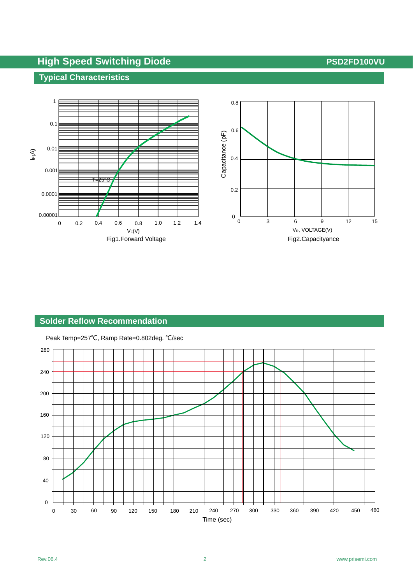# **High Speed Switching Diode <b>Witch**ing Speed Switching Diode **All Accords** 2012 12:00 PSD2FD100VU

VF vs IF

## **Typical Characteristics**



#### **Solder Reflow Recommendation**

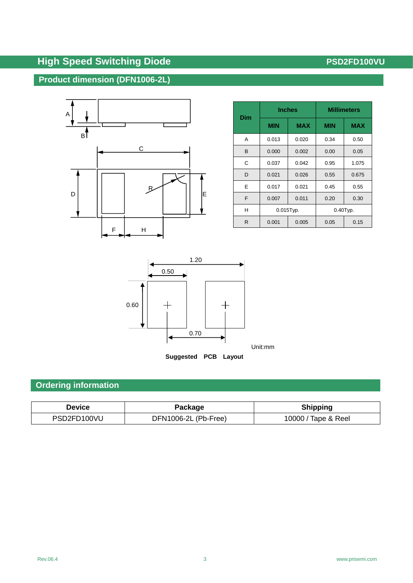# **High Speed Switching Diode <b>All PSD2FD100VU PSD2FD100VU**

## **Product dimension (DFN1006-2L)**



| <b>Dim</b> | <b>Inches</b> |            | <b>Millimeters</b> |            |  |
|------------|---------------|------------|--------------------|------------|--|
|            | <b>MIN</b>    | <b>MAX</b> | <b>MIN</b>         | <b>MAX</b> |  |
| Α          | 0.013         | 0.020      | 0.34               | 0.50       |  |
| B          | 0.000         | 0.002      | 0.00               | 0.05       |  |
| C          | 0.037         | 0.042      | 0.95               | 1.075      |  |
| D          | 0.021         | 0.026      | 0.55               | 0.675      |  |
| F          | 0.017         | 0.021      | 0.45               | 0.55       |  |
| F          | 0.007         | 0.011      | 0.20               | 0.30       |  |
| н          | $0.015$ Typ.  |            | $0.40$ Typ.        |            |  |
| R          | 0.001         | 0.005      | 0.15<br>0.05       |            |  |



## **Ordering information**

| <b>Device</b> | Package              | <b>Shipping</b>     |  |  |
|---------------|----------------------|---------------------|--|--|
| PSD2FD100VU   | DFN1006-2L (Pb-Free) | 10000 / Tape & Reel |  |  |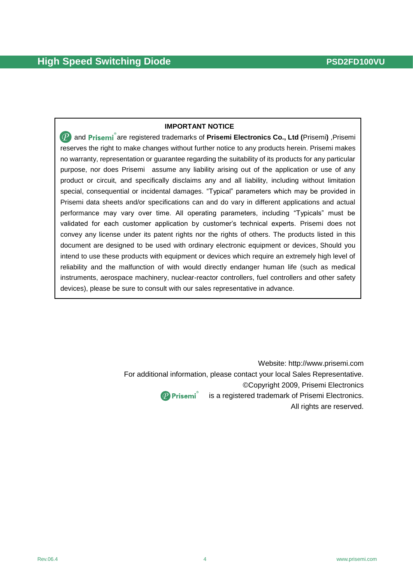#### **IMPORTANT NOTICE**

**(P)** and Prisemi<sup>®</sup> are registered trademarks of Prisemi Electronics Co., Ltd (Prisemi) ,Prisemi reserves the right to make changes without further notice to any products herein. Prisemi makes no warranty, representation or guarantee regarding the suitability of its products for any particular purpose, nor does Prisemi assume any liability arising out of the application or use of any product or circuit, and specifically disclaims any and all liability, including without limitation special, consequential or incidental damages. "Typical" parameters which may be provided in Prisemi data sheets and/or specifications can and do vary in different applications and actual performance may vary over time. All operating parameters, including "Typicals" must be validated for each customer application by customer's technical experts. Prisemi does not convey any license under its patent rights nor the rights of others. The products listed in this document are designed to be used with ordinary electronic equipment or devices, Should you intend to use these products with equipment or devices which require an extremely high level of reliability and the malfunction of with would directly endanger human life (such as medical instruments, aerospace machinery, nuclear-reactor controllers, fuel controllers and other safety devices), please be sure to consult with our sales representative in advance.

> Website: [http://www.prisemi.com](http://www.semiteltech.com/) For additional information, please contact your local Sales Representative. ©Copyright 2009, Prisemi Electronics  $\left| \right\rangle$  Prisemi $\degree$  is a registered trademark of Prisemi Electronics.

All rights are reserved.